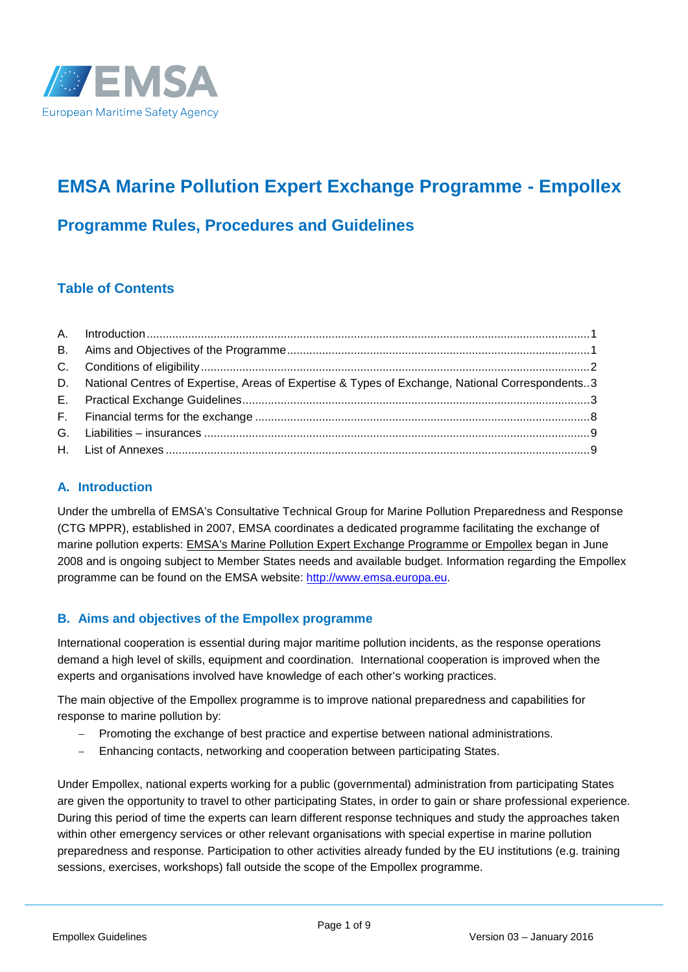

# **EMSA Marine Pollution Expert Exchange Programme - Empollex**

# **Programme Rules, Procedures and Guidelines**

# **Table of Contents**

| D. National Centres of Expertise, Areas of Expertise & Types of Exchange, National Correspondents3 |  |
|----------------------------------------------------------------------------------------------------|--|
|                                                                                                    |  |
|                                                                                                    |  |
|                                                                                                    |  |
|                                                                                                    |  |

# **A. Introduction**

Under the umbrella of EMSA's Consultative Technical Group for Marine Pollution Preparedness and Response (CTG MPPR), established in 2007, EMSA coordinates a dedicated programme facilitating the exchange of marine pollution experts: EMSA's Marine Pollution Expert Exchange Programme or Empollex began in June 2008 and is ongoing subject to Member States needs and available budget. Information regarding the Empollex programme can be found on the EMSA website: http://www.emsa.europa.eu.

# **B. Aims and objectives of the Empollex programme**

International cooperation is essential during major maritime pollution incidents, as the response operations demand a high level of skills, equipment and coordination. International cooperation is improved when the experts and organisations involved have knowledge of each other's working practices.

The main objective of the Empollex programme is to improve national preparedness and capabilities for response to marine pollution by:

- Promoting the exchange of best practice and expertise between national administrations.
- Enhancing contacts, networking and cooperation between participating States.

Under Empollex, national experts working for a public (governmental) administration from participating States are given the opportunity to travel to other participating States, in order to gain or share professional experience. During this period of time the experts can learn different response techniques and study the approaches taken within other emergency services or other relevant organisations with special expertise in marine pollution preparedness and response. Participation to other activities already funded by the EU institutions (e.g. training sessions, exercises, workshops) fall outside the scope of the Empollex programme.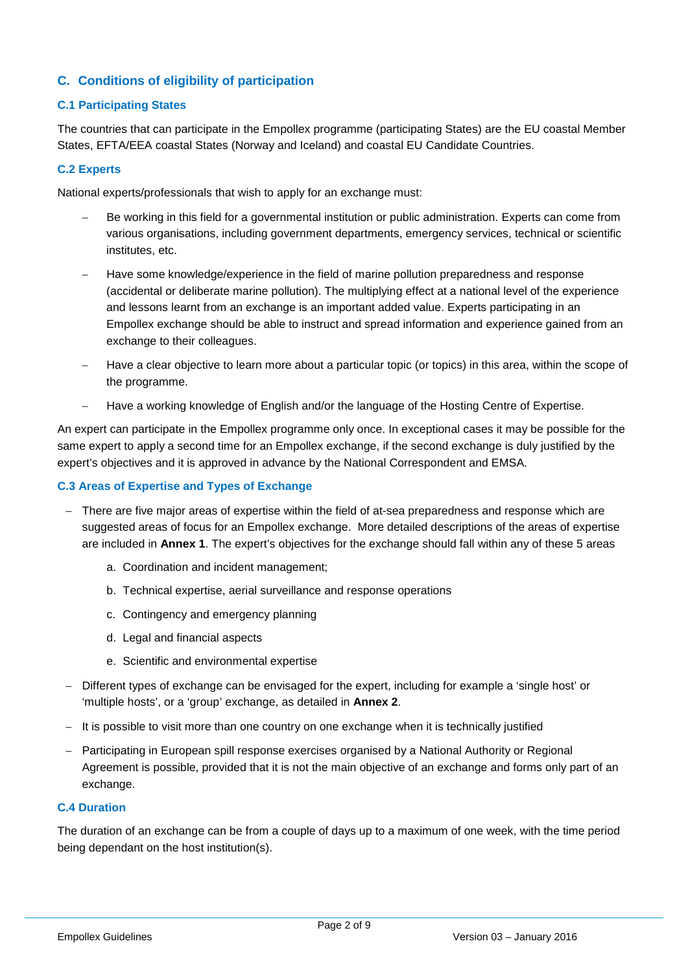# **C. Conditions of eligibility of participation**

#### **C.1 Participating States**

The countries that can participate in the Empollex programme (participating States) are the EU coastal Member States, EFTA/EEA coastal States (Norway and Iceland) and coastal EU Candidate Countries.

#### **C.2 Experts**

National experts/professionals that wish to apply for an exchange must:

- Be working in this field for a governmental institution or public administration. Experts can come from various organisations, including government departments, emergency services, technical or scientific institutes, etc.
- Have some knowledge/experience in the field of marine pollution preparedness and response (accidental or deliberate marine pollution). The multiplying effect at a national level of the experience and lessons learnt from an exchange is an important added value. Experts participating in an Empollex exchange should be able to instruct and spread information and experience gained from an exchange to their colleagues.
- Have a clear objective to learn more about a particular topic (or topics) in this area, within the scope of the programme.
- Have a working knowledge of English and/or the language of the Hosting Centre of Expertise.

An expert can participate in the Empollex programme only once. In exceptional cases it may be possible for the same expert to apply a second time for an Empollex exchange, if the second exchange is duly justified by the expert's objectives and it is approved in advance by the National Correspondent and EMSA.

#### **C.3 Areas of Expertise and Types of Exchange**

- There are five major areas of expertise within the field of at-sea preparedness and response which are suggested areas of focus for an Empollex exchange. More detailed descriptions of the areas of expertise are included in **Annex 1**. The expert's objectives for the exchange should fall within any of these 5 areas
	- a. Coordination and incident management;
	- b. Technical expertise, aerial surveillance and response operations
	- c. Contingency and emergency planning
	- d. Legal and financial aspects
	- e. Scientific and environmental expertise
- Different types of exchange can be envisaged for the expert, including for example a 'single host' or 'multiple hosts', or a 'group' exchange, as detailed in **Annex 2**.
- $-$  It is possible to visit more than one country on one exchange when it is technically justified
- Participating in European spill response exercises organised by a National Authority or Regional Agreement is possible, provided that it is not the main objective of an exchange and forms only part of an exchange.

#### **C.4 Duration**

The duration of an exchange can be from a couple of days up to a maximum of one week, with the time period being dependant on the host institution(s).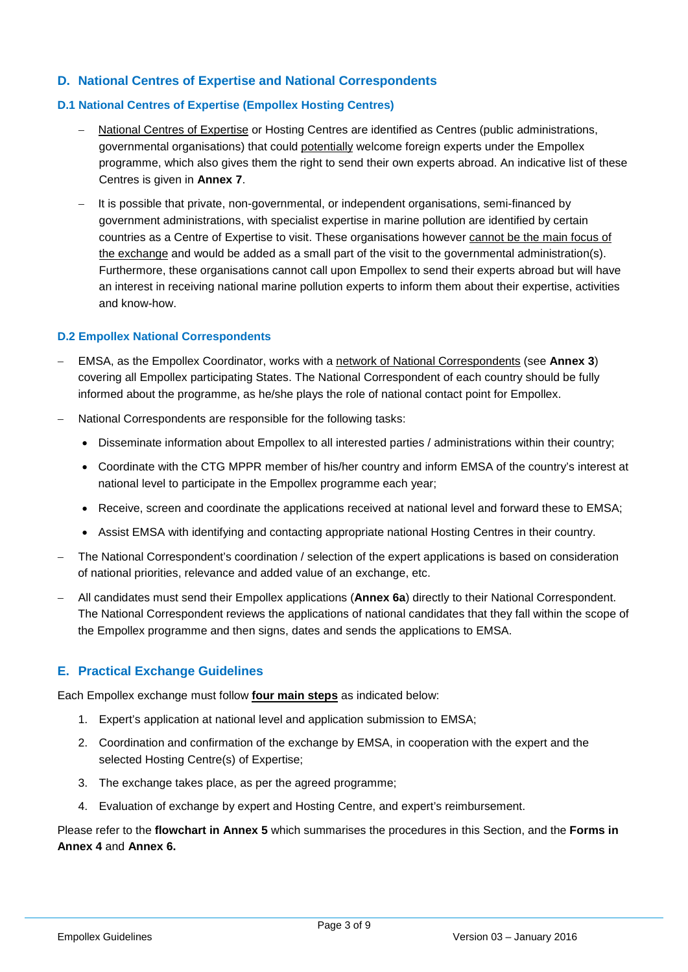# **D. National Centres of Expertise and National Correspondents**

# **D.1 National Centres of Expertise (Empollex Hosting Centres)**

- National Centres of Expertise or Hosting Centres are identified as Centres (public administrations, governmental organisations) that could potentially welcome foreign experts under the Empollex programme, which also gives them the right to send their own experts abroad. An indicative list of these Centres is given in **Annex 7**.
- It is possible that private, non-governmental, or independent organisations, semi-financed by government administrations, with specialist expertise in marine pollution are identified by certain countries as a Centre of Expertise to visit. These organisations however cannot be the main focus of the exchange and would be added as a small part of the visit to the governmental administration(s). Furthermore, these organisations cannot call upon Empollex to send their experts abroad but will have an interest in receiving national marine pollution experts to inform them about their expertise, activities and know-how.

#### **D.2 Empollex National Correspondents**

- EMSA, as the Empollex Coordinator, works with a network of National Correspondents (see **Annex 3**) covering all Empollex participating States. The National Correspondent of each country should be fully informed about the programme, as he/she plays the role of national contact point for Empollex.
- National Correspondents are responsible for the following tasks:
	- Disseminate information about Empollex to all interested parties / administrations within their country;
	- Coordinate with the CTG MPPR member of his/her country and inform EMSA of the country's interest at national level to participate in the Empollex programme each year;
	- Receive, screen and coordinate the applications received at national level and forward these to EMSA;
	- Assist EMSA with identifying and contacting appropriate national Hosting Centres in their country.
- The National Correspondent's coordination / selection of the expert applications is based on consideration of national priorities, relevance and added value of an exchange, etc.
- Allcandidates must send their Empollex applications (**Annex 6a**) directly to their National Correspondent. The National Correspondent reviews the applications of national candidates that they fall within the scope of the Empollex programme and then signs, dates and sends the applications to EMSA.

# **E. Practical Exchange Guidelines**

Each Empollex exchange must follow **four main steps** as indicated below:

- 1. Expert's application at national level and application submission to EMSA;
- 2. Coordination and confirmation of the exchange by EMSA, in cooperation with the expert and the selected Hosting Centre(s) of Expertise;
- 3. The exchange takes place, as per the agreed programme;
- 4. Evaluation of exchange by expert and Hosting Centre, and expert's reimbursement.

Please refer to the **flowchart in Annex 5** which summarises the procedures in this Section, and the **Forms in Annex 4** and **Annex 6.**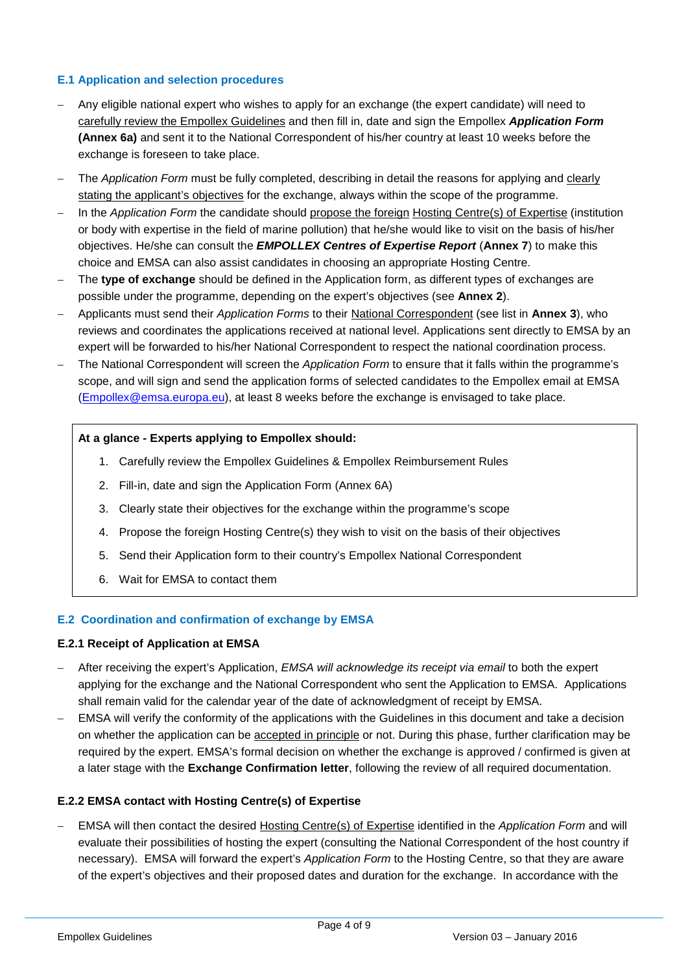#### **E.1 Application and selection procedures**

- Any eligible national expert who wishes to apply for an exchange (the expert candidate) will need to carefully review the Empollex Guidelines and then fill in, date and sign the Empollex *Application Form* **(Annex 6a)** and sent it to the National Correspondent of his/her country at least 10 weeks before the exchange is foreseen to take place.
- The *Application Form* must be fully completed, describing in detail the reasons for applying and clearly stating the applicant's objectives for the exchange, always within the scope of the programme.
- In the *Application Form* the candidate should propose the foreign Hosting Centre(s) of Expertise (institution or body with expertise in the field of marine pollution) that he/she would like to visit on the basis of his/her objectives. He/she can consult the *EMPOLLEX Centres of Expertise Report* (**Annex 7**) to make this choice and EMSA can also assist candidates in choosing an appropriate Hosting Centre.
- The **type of exchange** should be defined in the Application form, as different types of exchanges are possible under the programme, depending on the expert's objectives (see **Annex 2**).
- Applicants must send their *Application Forms* to their National Correspondent (see list in **Annex 3**), who reviews and coordinates the applications received at national level. Applications sent directly to EMSA by an expert will be forwarded to his/her National Correspondent to respect the national coordination process.
- The National Correspondent will screen the *Application Form* to ensure that it falls within the programme's scope, and will sign and send the application forms of selected candidates to the Empollex email at EMSA (Empollex@emsa.europa.eu), at least 8 weeks before the exchange is envisaged to take place.

#### **At a glance - Experts applying to Empollex should:**

- 1. Carefully review the Empollex Guidelines & Empollex Reimbursement Rules
- 2. Fill-in, date and sign the Application Form (Annex 6A)
- 3. Clearly state their objectives for the exchange within the programme's scope
- 4. Propose the foreign Hosting Centre(s) they wish to visit on the basis of their objectives
- 5. Send their Application form to their country's Empollex National Correspondent
- 6. Wait for EMSA to contact them

#### **E.2 Coordination and confirmation of exchange by EMSA**

#### **E.2.1 Receipt of Application at EMSA**

- After receiving the expert's Application, *EMSA will acknowledge its receipt via email* to both the expert applying for the exchange and the National Correspondent who sent the Application to EMSA. Applications shall remain valid for the calendar year of the date of acknowledgment of receipt by EMSA.
- EMSA will verify the conformity of the applications with the Guidelines in this document and take a decision on whether the application can be accepted in principle or not. During this phase, further clarification may be required by the expert. EMSA's formal decision on whether the exchange is approved / confirmed is given at a later stage with the **Exchange Confirmation letter**, following the review of all required documentation.

#### **E.2.2 EMSA contact with Hosting Centre(s) of Expertise**

 EMSA will then contact the desired Hosting Centre(s) of Expertise identified in the *Application Form* and will evaluate their possibilities of hosting the expert (consulting the National Correspondent of the host country if necessary). EMSA will forward the expert's *Application Form* to the Hosting Centre, so that they are aware of the expert's objectives and their proposed dates and duration for the exchange. In accordance with the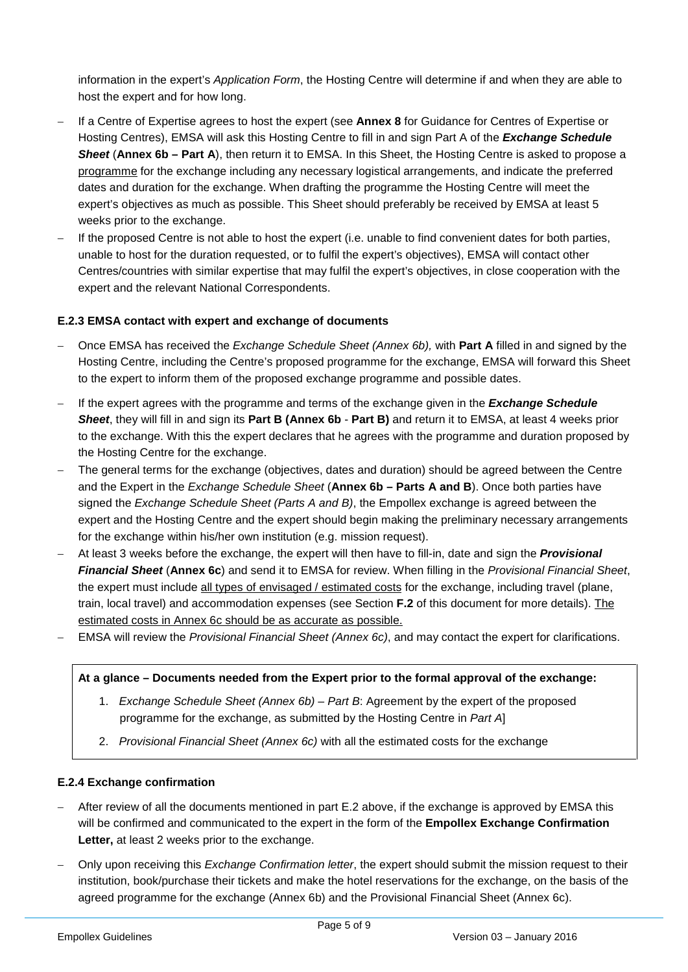information in the expert's *Application Form*, the Hosting Centre will determine if and when they are able to host the expert and for how long.

- If a Centre of Expertise agrees to host the expert (see **Annex 8** for Guidance for Centres of Expertise or Hosting Centres), EMSA will ask this Hosting Centre to fill in and sign Part A of the *Exchange Schedule Sheet* (**Annex 6b – Part A**), then return it to EMSA. In this Sheet, the Hosting Centre is asked to propose a programme for the exchange including any necessary logistical arrangements, and indicate the preferred dates and duration for the exchange. When drafting the programme the Hosting Centre will meet the expert's objectives as much as possible. This Sheet should preferably be received by EMSA at least 5 weeks prior to the exchange.
- If the proposed Centre is not able to host the expert (i.e. unable to find convenient dates for both parties, unable to host for the duration requested, or to fulfil the expert's objectives), EMSA will contact other Centres/countries with similar expertise that may fulfil the expert's objectives, in close cooperation with the expert and the relevant National Correspondents.

#### **E.2.3 EMSA contact with expert and exchange of documents**

- Once EMSA has received the *Exchange Schedule Sheet (Annex 6b),* with **Part A** filled in and signed by the Hosting Centre, including the Centre's proposed programme for the exchange, EMSA will forward this Sheet to the expert to inform them of the proposed exchange programme and possible dates.
- If the expert agrees with the programme and terms of the exchange given in the *Exchange Schedule Sheet*, they will fill in and sign its **Part B (Annex 6b** - **Part B)** and return it to EMSA, at least 4 weeks prior to the exchange. With this the expert declares that he agrees with the programme and duration proposed by the Hosting Centre for the exchange.
- The general terms for the exchange (objectives, dates and duration) should be agreed between the Centre and the Expert in the *Exchange Schedule Sheet* (**Annex 6b – Parts A and B**). Once both parties have signed the *Exchange Schedule Sheet (Parts A and B)*, the Empollex exchange is agreed between the expert and the Hosting Centre and the expert should begin making the preliminary necessary arrangements for the exchange within his/her own institution (e.g. mission request).
- At least 3 weeks before the exchange, the expert will then have to fill-in, date and sign the *Provisional Financial Sheet* (**Annex 6c**) and send it to EMSA for review. When filling in the *Provisional Financial Sheet*, the expert must include all types of envisaged / estimated costs for the exchange, including travel (plane, train, local travel) and accommodation expenses (see Section **F.2** of this document for more details). The estimated costs in Annex 6c should be as accurate as possible.
- EMSA will review the *Provisional Financial Sheet (Annex 6c)*, and may contact the expert for clarifications.

#### **At a glance – Documents needed from the Expert prior to the formal approval of the exchange:**

- 1. *Exchange Schedule Sheet (Annex 6b) – Part B*: Agreement by the expert of the proposed programme for the exchange, as submitted by the Hosting Centre in *Part A*]
- 2. *Provisional Financial Sheet (Annex 6c)* with all the estimated costs for the exchange

#### **E.2.4 Exchange confirmation**

- After review of all the documents mentioned in part E.2 above, if the exchange is approved by EMSA this will be confirmed and communicated to the expert in the form of the **Empollex Exchange Confirmation Letter,** at least 2 weeks prior to the exchange.
- Only upon receiving this *Exchange Confirmation letter*, the expert should submit the mission request to their institution, book/purchase their tickets and make the hotel reservations for the exchange, on the basis of the agreed programme for the exchange (Annex 6b) and the Provisional Financial Sheet (Annex 6c).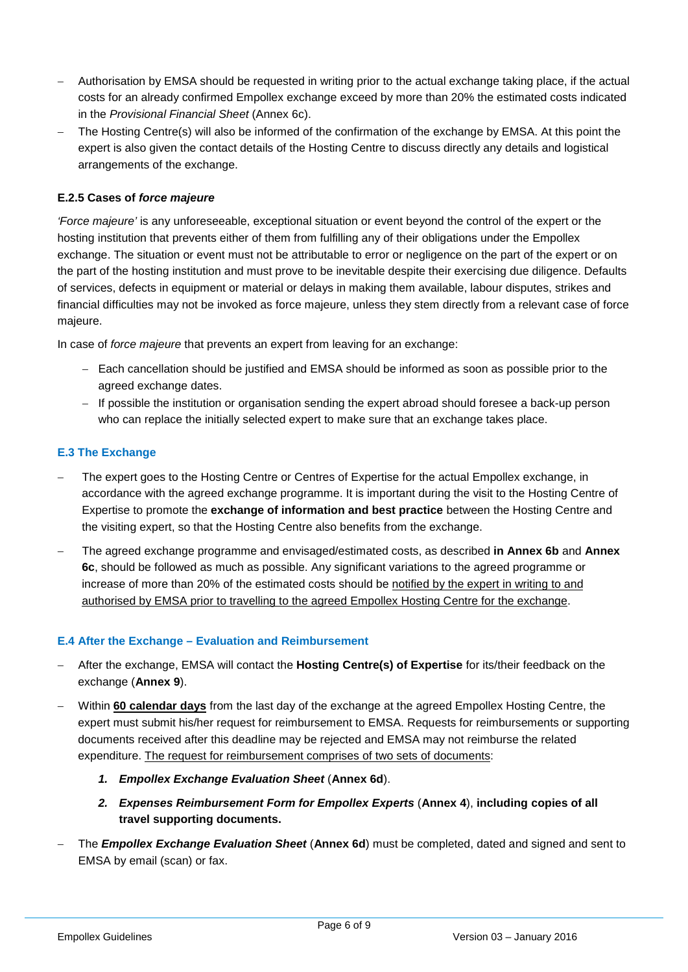- Authorisation by EMSA should be requested in writing prior to the actual exchange taking place, if the actual costs for an already confirmed Empollex exchange exceed by more than 20% the estimated costs indicated in the *Provisional Financial Sheet* (Annex 6c).
- The Hosting Centre(s) will also be informed of the confirmation of the exchange by EMSA. At this point the expert is also given the contact details of the Hosting Centre to discuss directly any details and logistical arrangements of the exchange.

#### **E.2.5 Cases of** *force majeure*

*'Force majeure'* is any unforeseeable, exceptional situation or event beyond the control of the expert or the hosting institution that prevents either of them from fulfilling any of their obligations under the Empollex exchange. The situation or event must not be attributable to error or negligence on the part of the expert or on the part of the hosting institution and must prove to be inevitable despite their exercising due diligence. Defaults of services, defects in equipment or material or delays in making them available, labour disputes, strikes and financial difficulties may not be invoked as force majeure, unless they stem directly from a relevant case of force majeure.

In case of *force majeure* that prevents an expert from leaving for an exchange:

- $-$  Each cancellation should be justified and EMSA should be informed as soon as possible prior to the agreed exchange dates.
- If possible the institution or organisation sending the expert abroad should foresee a back-up person who can replace the initially selected expert to make sure that an exchange takes place.

#### **E.3 The Exchange**

- The expert goes to the Hosting Centre or Centres of Expertise for the actual Empollex exchange, in accordance with the agreed exchange programme. It is important during the visit to the Hosting Centre of Expertise to promote the **exchange of information and best practice** between the Hosting Centre and the visiting expert, so that the Hosting Centre also benefits from the exchange.
- The agreed exchange programme and envisaged/estimated costs, as described **in Annex 6b** and **Annex 6c**, should be followed as much as possible. Any significant variations to the agreed programme or increase of more than 20% of the estimated costs should be notified by the expert in writing to and authorised by EMSA prior to travelling to the agreed Empollex Hosting Centre for the exchange.

#### **E.4 After the Exchange – Evaluation and Reimbursement**

- After the exchange, EMSA will contact the **Hosting Centre(s) of Expertise** for its/their feedback on the exchange (**Annex 9**).
- Within **60 calendar days** from the last day of the exchange at the agreed Empollex Hosting Centre, the expert must submit his/her request for reimbursement to EMSA. Requests for reimbursements or supporting documents received after this deadline may be rejected and EMSA may not reimburse the related expenditure. The request for reimbursement comprises of two sets of documents:
	- *1. Empollex Exchange Evaluation Sheet* (**Annex 6d**).
	- *2. Expenses Reimbursement Form for Empollex Experts* (**Annex 4**), **including copies of all travel supporting documents.**
- The *Empollex Exchange Evaluation Sheet* (**Annex 6d**) must be completed, dated and signed and sent to EMSA by email (scan) or fax.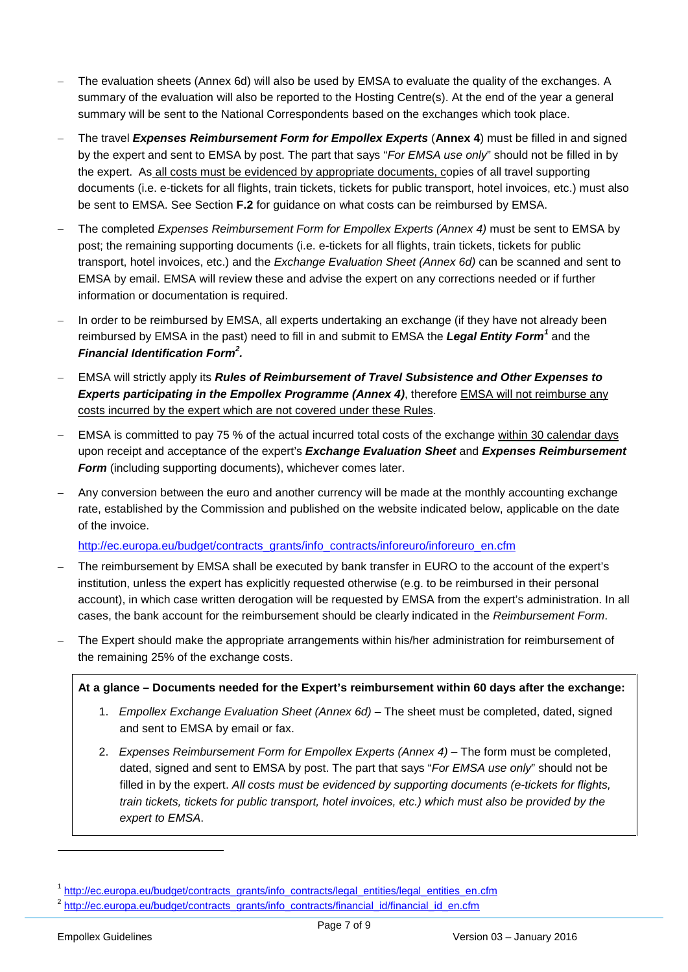- The evaluation sheets (Annex 6d) will also be used by EMSA to evaluate the quality of the exchanges. A summary of the evaluation will also be reported to the Hosting Centre(s). At the end of the year a general summary will be sent to the National Correspondents based on the exchanges which took place.
- The travel *Expenses Reimbursement Form for Empollex Experts* (**Annex 4**) must be filled in and signed by the expert and sent to EMSA by post. The part that says "*For EMSA use only*" should not be filled in by the expert. As all costs must be evidenced by appropriate documents, copies of all travel supporting documents (i.e. e-tickets for all flights, train tickets, tickets for public transport, hotel invoices, etc.) must also be sent to EMSA. See Section **F.2** for guidance on what costs can be reimbursed by EMSA.
- The completed *Expenses Reimbursement Form for Empollex Experts (Annex 4)* must be sent to EMSA by post; the remaining supporting documents (i.e. e-tickets for all flights, train tickets, tickets for public transport, hotel invoices, etc.) and the *Exchange Evaluation Sheet (Annex 6d)* can be scanned and sent to EMSA by email. EMSA will review these and advise the expert on any corrections needed or if further information or documentation is required.
- In order to be reimbursed by EMSA, all experts undertaking an exchange (if they have not already been reimbursed by EMSA in the past) need to fill in and submit to EMSA the *Legal Entity Form<sup>1</sup>* and the *Financial Identification Form<sup>2</sup> .*
- EMSA will strictly apply its *Rules of Reimbursement of Travel Subsistence and Other Expenses to Experts participating in the Empollex Programme (Annex 4)*, therefore EMSA will not reimburse any costs incurred by the expert which are not covered under these Rules.
- EMSA is committed to pay 75 % of the actual incurred total costs of the exchange within 30 calendar days upon receipt and acceptance of the expert's *Exchange Evaluation Sheet* and *Expenses Reimbursement Form* (including supporting documents), whichever comes later.
- Any conversion between the euro and another currency will be made at the monthly accounting exchange rate, established by the Commission and published on the website indicated below, applicable on the date of the invoice.

http://ec.europa.eu/budget/contracts\_grants/info\_contracts/inforeuro/inforeuro\_en.cfm

- The reimbursement by EMSA shall be executed by bank transfer in EURO to the account of the expert's institution, unless the expert has explicitly requested otherwise (e.g. to be reimbursed in their personal account), in which case written derogation will be requested by EMSA from the expert's administration. In all cases, the bank account for the reimbursement should be clearly indicated in the *Reimbursement Form*.
- The Expert should make the appropriate arrangements within his/her administration for reimbursement of the remaining 25% of the exchange costs.

#### **At a glance – Documents needed for the Expert's reimbursement within 60 days after the exchange:**

- 1. *Empollex Exchange Evaluation Sheet (Annex 6d)* The sheet must be completed, dated, signed and sent to EMSA by email or fax.
- 2. *Expenses Reimbursement Form for Empollex Experts (Annex 4)* The form must be completed, dated, signed and sent to EMSA by post. The part that says "*For EMSA use only*" should not be filled in by the expert. *All costs must be evidenced by supporting documents (e-tickets for flights, train tickets, tickets for public transport, hotel invoices, etc.) which must also be provided by the expert to EMSA*.

<sup>1</sup> http://ec.europa.eu/budget/contracts\_grants/info\_contracts/legal\_entities/legal\_entities\_en.cfm

<sup>&</sup>lt;sup>2</sup> http://ec.europa.eu/budget/contracts\_grants/info\_contracts/financial\_id/financial\_id\_en.cfm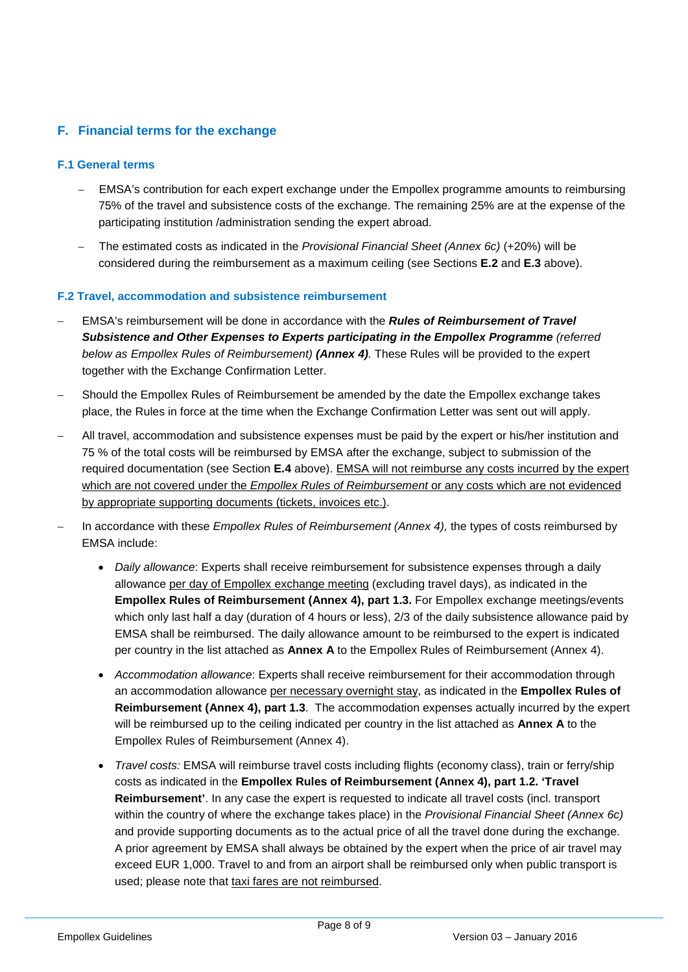# **F. Financial terms for the exchange**

#### **F.1 General terms**

- EMSA's contribution for each expert exchange under the Empollex programme amounts to reimbursing 75% of the travel and subsistence costs of the exchange. The remaining 25% are at the expense of the participating institution /administration sending the expert abroad.
- The estimated costs as indicated in the *Provisional Financial Sheet (Annex 6c)* (+20%) will be considered during the reimbursement as a maximum ceiling (see Sections **E.2** and **E.3** above).

#### **F.2 Travel, accommodation and subsistence reimbursement**

- EMSA's reimbursement will be done in accordance with the *Rules of Reimbursement of Travel Subsistence and Other Expenses to Experts participating in the Empollex Programme (referred below as Empollex Rules of Reimbursement) (Annex 4).* These Rules will be provided to the expert together with the Exchange Confirmation Letter.
- Should the Empollex Rules of Reimbursement be amended by the date the Empollex exchange takes place, the Rules in force at the time when the Exchange Confirmation Letter was sent out will apply.
- All travel, accommodation and subsistence expenses must be paid by the expert or his/her institution and 75 % of the total costs will be reimbursed by EMSA after the exchange, subject to submission of the required documentation (see Section **E.4** above). EMSA will not reimburse any costs incurred by the expert which are not covered under the *Empollex Rules of Reimbursement* or any costs which are not evidenced by appropriate supporting documents (tickets, invoices etc.).
- In accordance with these *Empollex Rules of Reimbursement (Annex 4),* the types of costs reimbursed by EMSA include:
	- *Daily allowance*: Experts shall receive reimbursement for subsistence expenses through a daily allowance per day of Empollex exchange meeting (excluding travel days), as indicated in the **Empollex Rules of Reimbursement (Annex 4), part 1.3.** For Empollex exchange meetings/events which only last half a day (duration of 4 hours or less), 2/3 of the daily subsistence allowance paid by EMSA shall be reimbursed. The daily allowance amount to be reimbursed to the expert is indicated per country in the list attached as **Annex A** to the Empollex Rules of Reimbursement (Annex 4).
	- *Accommodation allowance*: Experts shall receive reimbursement for their accommodation through an accommodation allowance per necessary overnight stay, as indicated in the **Empollex Rules of Reimbursement (Annex 4), part 1.3**. The accommodation expenses actually incurred by the expert will be reimbursed up to the ceiling indicated per country in the list attached as **Annex A** to the Empollex Rules of Reimbursement (Annex 4).
	- *Travel costs:* EMSA will reimburse travel costs including flights (economy class), train or ferry/ship costs as indicated in the **Empollex Rules of Reimbursement (Annex 4), part 1.2. 'Travel Reimbursement'**. In any case the expert is requested to indicate all travel costs (incl. transport within the country of where the exchange takes place) in the *Provisional Financial Sheet (Annex 6c)* and provide supporting documents as to the actual price of all the travel done during the exchange. A prior agreement by EMSA shall always be obtained by the expert when the price of air travel may exceed EUR 1,000. Travel to and from an airport shall be reimbursed only when public transport is used; please note that taxi fares are not reimbursed.